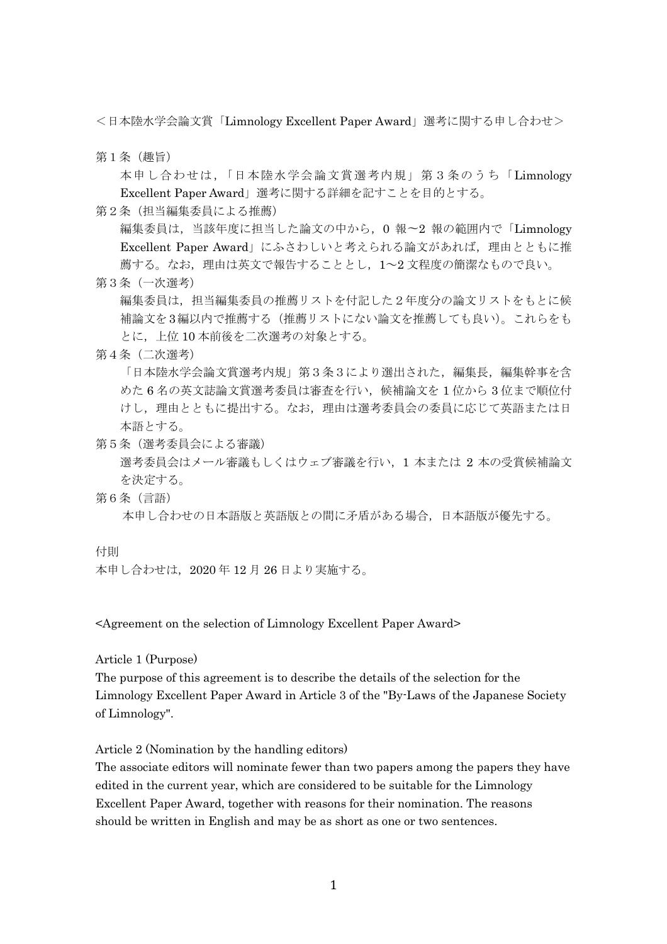<日本陸水学会論文賞「Limnology Excellent Paper Award」選考に関する申し合わせ>

第1条(趣旨)

本申し合わせは,「日本陸水学会論文賞選考内規」第3条のうち「Limnology Excellent Paper Award」選考に関する詳細を記すことを目的とする。

第2条(担当編集委員による推薦)

編集委員は,当該年度に担当した論文の中から,0 報〜2 報の範囲内で「Limnology Excellent Paper Award」にふさわしいと考えられる論文があれば,理由とともに推 薦する。なお,理由は英文で報告することとし,1~2 文程度の簡潔なもので良い。

第3条(一次選考)

編集委員は,担当編集委員の推薦リストを付記した2年度分の論文リストをもとに候 補論文を3編以内で推薦する(推薦リストにない論文を推薦しても良い)。これらをも とに,上位 10 本前後を二次選考の対象とする。

第4条(二次選考)

「日本陸水学会論文賞選考内規」第3条3により選出された、編集長、編集幹事を含 めた 6 名の英文誌論文賞選考委員は審査を行い,候補論文を 1 位から 3 位まで順位付 けし,理由とともに提出する。なお,理由は選考委員会の委員に応じて英語または日 本語とする。

第5条(選考委員会による審議)

選考委員会はメール審議もしくはウェブ審議を行い,1 本または 2 本の受賞候補論文 を決定する。

第6条(言語)

本申し合わせの日本語版と英語版との間に矛盾がある場合,日本語版が優先する。

付則

本申し合わせは,2020 年 12 月 26 日より実施する。

<Agreement on the selection of Limnology Excellent Paper Award>

Article 1 (Purpose)

The purpose of this agreement is to describe the details of the selection for the Limnology Excellent Paper Award in Article 3 of the "By-Laws of the Japanese Society of Limnology".

Article 2 (Nomination by the handling editors)

The associate editors will nominate fewer than two papers among the papers they have edited in the current year, which are considered to be suitable for the Limnology Excellent Paper Award, together with reasons for their nomination. The reasons should be written in English and may be as short as one or two sentences.